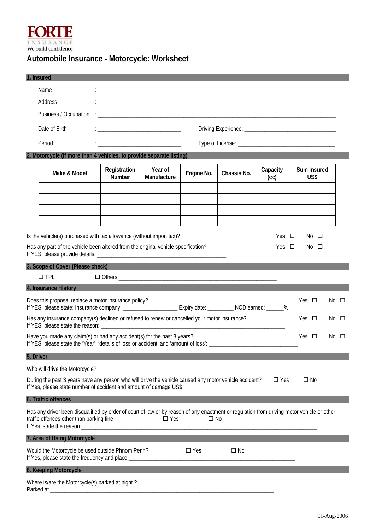

## **Automobile Insurance - Motorcycle: Worksheet**

|           | 1. Insured                                                                                                                                                                                                    |                                                  |                                                                                                                               |               |              |                          |                     |                |
|-----------|---------------------------------------------------------------------------------------------------------------------------------------------------------------------------------------------------------------|--------------------------------------------------|-------------------------------------------------------------------------------------------------------------------------------|---------------|--------------|--------------------------|---------------------|----------------|
|           | Name                                                                                                                                                                                                          |                                                  |                                                                                                                               |               |              |                          |                     |                |
|           | Address                                                                                                                                                                                                       |                                                  | <u> 2008 - Jan James James James James James James James James James James James James James James James James J</u>          |               |              |                          |                     |                |
|           | Business / Occupation                                                                                                                                                                                         |                                                  |                                                                                                                               |               |              |                          |                     |                |
|           | Date of Birth                                                                                                                                                                                                 |                                                  | <u> 1989 - Johann John Stone, mars et al. 1989 - John Stone, mars et al. 1989 - John Stone, mars et al. 1989 - John Stone</u> |               |              |                          |                     |                |
|           | Period                                                                                                                                                                                                        |                                                  | <u> 1980 - Jan James James Barbara, martin da k</u>                                                                           |               |              |                          |                     |                |
|           | 2. Motorcycle (if more than 4 vehicles, to provide separate listing)                                                                                                                                          |                                                  |                                                                                                                               |               |              |                          |                     |                |
|           | Make & Model                                                                                                                                                                                                  | Registration<br>Number                           | Year of<br>Manufacture                                                                                                        | Engine No.    | Chassis No.  | Capacity<br>(cc)         | Sum Insured<br>US\$ |                |
|           |                                                                                                                                                                                                               |                                                  |                                                                                                                               |               |              |                          |                     |                |
|           |                                                                                                                                                                                                               |                                                  |                                                                                                                               |               |              |                          |                     |                |
|           |                                                                                                                                                                                                               |                                                  |                                                                                                                               |               |              |                          |                     |                |
|           | Is the vehicle(s) purchased with tax allowance (without import tax)?<br>Has any part of the vehicle been altered from the original vehicle specification?                                                     |                                                  |                                                                                                                               |               |              | Yes $\Box$<br>Yes $\Box$ | No □<br>No □        |                |
|           |                                                                                                                                                                                                               |                                                  |                                                                                                                               |               |              |                          |                     |                |
|           | 3. Scope of Cover (Please check)                                                                                                                                                                              |                                                  |                                                                                                                               |               |              |                          |                     |                |
|           | $\square$ TPL                                                                                                                                                                                                 |                                                  |                                                                                                                               |               |              |                          |                     |                |
|           | 4. Insurance History<br>Does this proposal replace a motor insurance policy?                                                                                                                                  |                                                  |                                                                                                                               |               |              |                          | Yes $\square$       | $No$ $\square$ |
|           | Has any insurance company(s) declined or refused to renew or cancelled your motor insurance?                                                                                                                  |                                                  |                                                                                                                               |               |              |                          | Yes $\Box$          | No □           |
|           | Have you made any claim(s) or had any accident(s) for the past 3 years?                                                                                                                                       |                                                  |                                                                                                                               |               |              |                          | Yes $\Box$          | No.<br>$\Box$  |
| 5. Driver |                                                                                                                                                                                                               |                                                  |                                                                                                                               |               |              |                          |                     |                |
|           |                                                                                                                                                                                                               |                                                  |                                                                                                                               |               |              |                          |                     |                |
|           | During the past 3 years have any person who will drive the vehicle caused any motor vehicle accident?<br>If Yes, please state number of accident and amount of damage US\$ __________________________________ |                                                  |                                                                                                                               |               |              | $\square$ Yes            | $\square$ No        |                |
|           | 6. Traffic offences                                                                                                                                                                                           |                                                  |                                                                                                                               |               |              |                          |                     |                |
|           | Has any driver been disqualified by order of court of law or by reason of any enactment or regulation from driving motor vehicle or other<br>traffic offences other than parking fine                         |                                                  | $\square$ Yes                                                                                                                 | $\Box$ No     |              |                          |                     |                |
|           | 7. Area of Using Motorcycle                                                                                                                                                                                   |                                                  |                                                                                                                               |               |              |                          |                     |                |
|           | Would the Motorcycle be used outside Phnom Penh?                                                                                                                                                              |                                                  |                                                                                                                               | $\square$ Yes | $\square$ No |                          |                     |                |
|           | 8. Keeping Motorcycle                                                                                                                                                                                         |                                                  |                                                                                                                               |               |              |                          |                     |                |
|           | Where is/are the Motorcycle(s) parked at night?<br>Parked at                                                                                                                                                  | <u> 1980 - Jan James James Barbara, martin d</u> |                                                                                                                               |               |              |                          |                     |                |